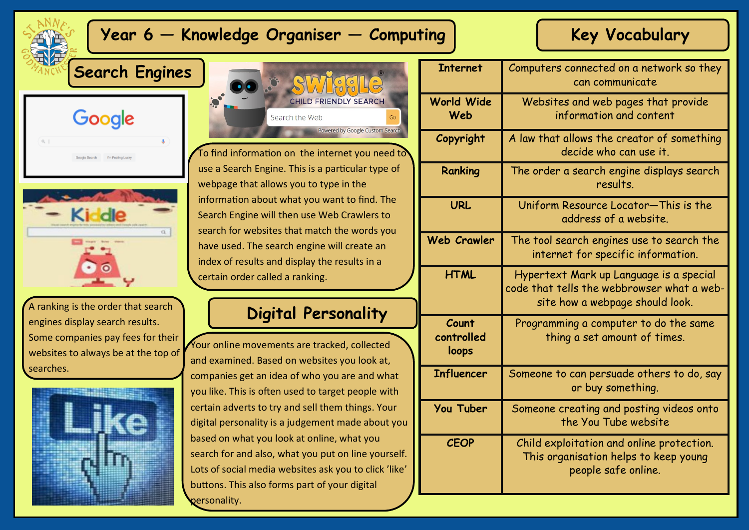# **Year 6 – Knowledge Organiser – Computing | Key Vocabulary**

**Search Engines**





A ranking is the order that search engines display search results. Some companies pay fees for their websites to always be at the top of searches.





To find information on the internet you need  $\vec{t}$ use a Search Engine. This is a particular type of webpage that allows you to type in the information about what you want to find. The Search Engine will then use Web Crawlers to search for websites that match the words you have used. The search engine will create an index of results and display the results in a certain order called a ranking.

## **Digital Personality**

Your online movements are tracked, collected and examined. Based on websites you look at, companies get an idea of who you are and what you like. This is often used to target people with certain adverts to try and sell them things. Your digital personality is a judgement made about you based on what you look at online, what you search for and also, what you put on line yourself. Lots of social media websites ask you to click 'like' buttons. This also forms part of your digital personality.

| <b>Internet</b>              | Computers connected on a network so they<br>can communicate                                                              |
|------------------------------|--------------------------------------------------------------------------------------------------------------------------|
| <b>World Wide</b><br>Web     | Websites and web pages that provide<br>information and content                                                           |
| Copyright                    | A law that allows the creator of something<br>decide who can use it.                                                     |
| Ranking                      | The order a search engine displays search<br>results.                                                                    |
| <b>URL</b>                   | Uniform Resource Locator-This is the<br>address of a website.                                                            |
| <b>Web Crawler</b>           | The tool search engines use to search the<br>internet for specific information.                                          |
| <b>HTML</b>                  | Hypertext Mark up Language is a special<br>code that tells the webbrowser what a web-<br>site how a webpage should look. |
| Count<br>controlled<br>loops | Programming a computer to do the same<br>thing a set amount of times.                                                    |
| <b>Influencer</b>            | Someone to can persuade others to do, say<br>or buy something.                                                           |
| <b>You Tuber</b>             | Someone creating and posting videos onto<br>the You Tube website                                                         |
| <b>CEOP</b>                  | Child exploitation and online protection.<br>This organisation helps to keep young<br>people safe online.                |